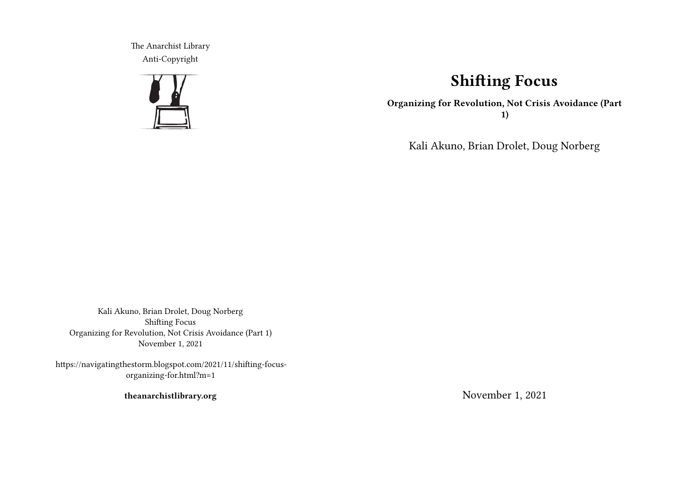The Anarchist Library Anti-Copyright



# **Shifting Focus**

**Organizing for Revolution, Not Crisis Avoidance (Part 1)**

Kali Akuno, Brian Drolet, Doug Norberg

Kali Akuno, Brian Drolet, Doug Norberg Shifting Focus Organizing for Revolution, Not Crisis Avoidance (Part 1) November 1, 2021

https://navigatingthestorm.blogspot.com/2021/11/shifting-focusorganizing-for.html?m=1

**theanarchistlibrary.org**

November 1, 2021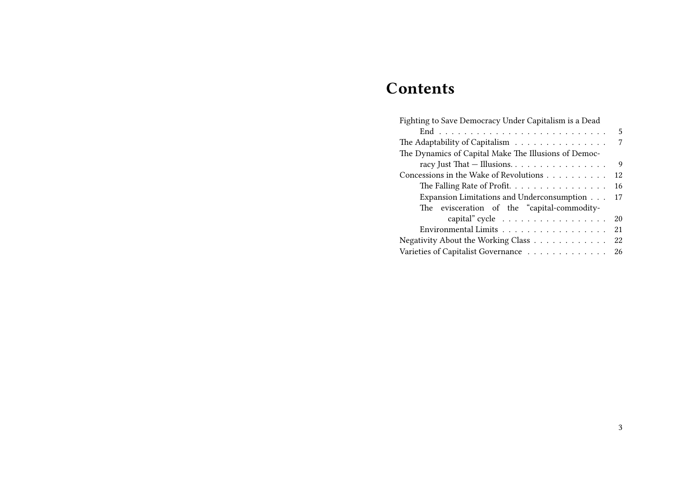# **Contents**

| Fighting to Save Democracy Under Capitalism is a Dead      |    |
|------------------------------------------------------------|----|
|                                                            | 5  |
| The Adaptability of Capitalism                             | 7  |
| The Dynamics of Capital Make The Illusions of Democ-       |    |
| racy Just That - Illusions.                                | 9  |
| Concessions in the Wake of Revolutions                     | 12 |
| The Falling Rate of Profit.                                | 16 |
| Expansion Limitations and Underconsumption                 | 17 |
| The evisceration of the "capital-commodity-                |    |
| capital" cycle $\dots \dots \dots \dots \dots$             | 20 |
| Environmental Limits $\dots \dots \dots \dots \dots \dots$ | 21 |
| Negativity About the Working Class                         | 22 |
| Varieties of Capitalist Governance                         | 26 |
|                                                            |    |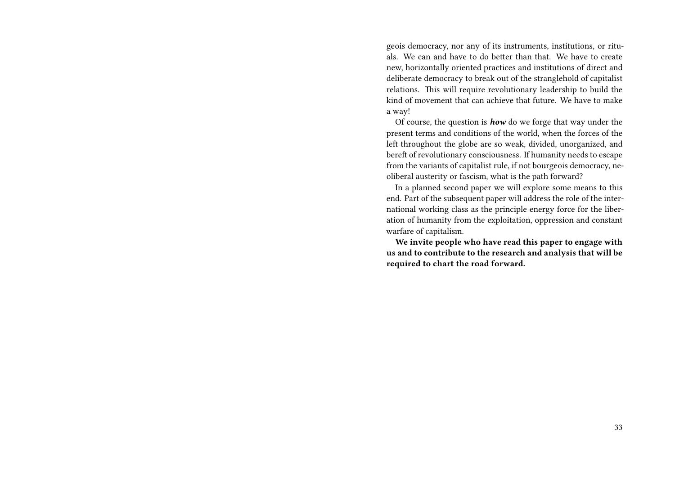geois democracy, nor any of its instruments, institutions, or rituals. We can and have to do better than that. We have to create new, horizontally oriented practices and institutions of direct and deliberate democracy to break out of the stranglehold of capitalist relations. This will require revolutionary leadership to build the kind of movement that can achieve that future. We have to make a way!

Of course, the question is *how* do we forge that way under the present terms and conditions of the world, when the forces of the left throughout the globe are so weak, divided, unorganized, and bereft of revolutionary consciousness. If humanity needs to escape from the variants of capitalist rule, if not bourgeois democracy, neoliberal austerity or fascism, what is the path forward?

In a planned second paper we will explore some means to this end. Part of the subsequent paper will address the role of the international working class as the principle energy force for the liberation of humanity from the exploitation, oppression and constant warfare of capitalism.

**We invite people who have read this paper to engage with us and to contribute to the research and analysis that will be required to chart the road forward.**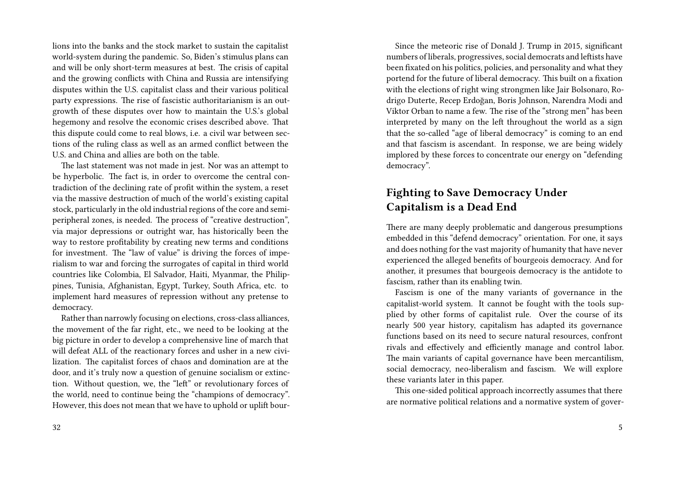lions into the banks and the stock market to sustain the capitalist world-system during the pandemic. So, Biden's stimulus plans can and will be only short-term measures at best. The crisis of capital and the growing conflicts with China and Russia are intensifying disputes within the U.S. capitalist class and their various political party expressions. The rise of fascistic authoritarianism is an outgrowth of these disputes over how to maintain the U.S.'s global hegemony and resolve the economic crises described above. That this dispute could come to real blows, i.e. a civil war between sections of the ruling class as well as an armed conflict between the U.S. and China and allies are both on the table.

The last statement was not made in jest. Nor was an attempt to be hyperbolic. The fact is, in order to overcome the central contradiction of the declining rate of profit within the system, a reset via the massive destruction of much of the world's existing capital stock, particularly in the old industrial regions of the core and semiperipheral zones, is needed. The process of "creative destruction", via major depressions or outright war, has historically been the way to restore profitability by creating new terms and conditions for investment. The "law of value" is driving the forces of imperialism to war and forcing the surrogates of capital in third world countries like Colombia, El Salvador, Haiti, Myanmar, the Philippines, Tunisia, Afghanistan, Egypt, Turkey, South Africa, etc. to implement hard measures of repression without any pretense to democracy.

Rather than narrowly focusing on elections, cross-class alliances, the movement of the far right, etc., we need to be looking at the big picture in order to develop a comprehensive line of march that will defeat ALL of the reactionary forces and usher in a new civilization. The capitalist forces of chaos and domination are at the door, and it's truly now a question of genuine socialism or extinction. Without question, we, the "left" or revolutionary forces of the world, need to continue being the "champions of democracy". However, this does not mean that we have to uphold or uplift bour-

Since the meteoric rise of Donald J. Trump in 2015, significant numbers of liberals, progressives, social democrats and leftists have been fixated on his politics, policies, and personality and what they portend for the future of liberal democracy. This built on a fixation with the elections of right wing strongmen like Jair Bolsonaro, Rodrigo Duterte, Recep Erdoğan, Boris Johnson, Narendra Modi and Viktor Orban to name a few. The rise of the "strong men" has been interpreted by many on the left throughout the world as a sign that the so-called "age of liberal democracy" is coming to an end and that fascism is ascendant. In response, we are being widely implored by these forces to concentrate our energy on "defending democracy".

## **Fighting to Save Democracy Under Capitalism is a Dead End**

There are many deeply problematic and dangerous presumptions embedded in this "defend democracy" orientation. For one, it says and does nothing for the vast majority of humanity that have never experienced the alleged benefits of bourgeois democracy. And for another, it presumes that bourgeois democracy is the antidote to fascism, rather than its enabling twin.

Fascism is one of the many variants of governance in the capitalist-world system. It cannot be fought with the tools supplied by other forms of capitalist rule. Over the course of its nearly 500 year history, capitalism has adapted its governance functions based on its need to secure natural resources, confront rivals and effectively and efficiently manage and control labor. The main variants of capital governance have been mercantilism, social democracy, neo-liberalism and fascism. We will explore these variants later in this paper.

This one-sided political approach incorrectly assumes that there are normative political relations and a normative system of gover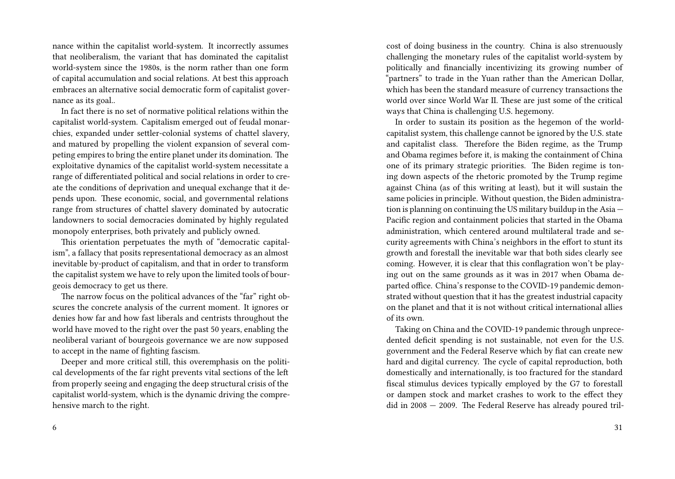nance within the capitalist world-system. It incorrectly assumes that neoliberalism, the variant that has dominated the capitalist world-system since the 1980s, is the norm rather than one form of capital accumulation and social relations. At best this approach embraces an alternative social democratic form of capitalist governance as its goal..

In fact there is no set of normative political relations within the capitalist world-system. Capitalism emerged out of feudal monarchies, expanded under settler-colonial systems of chattel slavery, and matured by propelling the violent expansion of several competing empires to bring the entire planet under its domination. The exploitative dynamics of the capitalist world-system necessitate a range of differentiated political and social relations in order to create the conditions of deprivation and unequal exchange that it depends upon. These economic, social, and governmental relations range from structures of chattel slavery dominated by autocratic landowners to social democracies dominated by highly regulated monopoly enterprises, both privately and publicly owned.

This orientation perpetuates the myth of "democratic capitalism", a fallacy that posits representational democracy as an almost inevitable by-product of capitalism, and that in order to transform the capitalist system we have to rely upon the limited tools of bourgeois democracy to get us there.

The narrow focus on the political advances of the "far" right obscures the concrete analysis of the current moment. It ignores or denies how far and how fast liberals and centrists throughout the world have moved to the right over the past 50 years, enabling the neoliberal variant of bourgeois governance we are now supposed to accept in the name of fighting fascism.

Deeper and more critical still, this overemphasis on the political developments of the far right prevents vital sections of the left from properly seeing and engaging the deep structural crisis of the capitalist world-system, which is the dynamic driving the comprehensive march to the right.

cost of doing business in the country. China is also strenuously challenging the monetary rules of the capitalist world-system by politically and financially incentivizing its growing number of "partners" to trade in the Yuan rather than the American Dollar, which has been the standard measure of currency transactions the world over since World War II. These are just some of the critical ways that China is challenging U.S. hegemony.

In order to sustain its position as the hegemon of the worldcapitalist system, this challenge cannot be ignored by the U.S. state and capitalist class. Therefore the Biden regime, as the Trump and Obama regimes before it, is making the containment of China one of its primary strategic priorities. The Biden regime is toning down aspects of the rhetoric promoted by the Trump regime against China (as of this writing at least), but it will sustain the same policies in principle. Without question, the Biden administration is planning on continuing the US military buildup in the Asia — Pacific region and containment policies that started in the Obama administration, which centered around multilateral trade and security agreements with China's neighbors in the effort to stunt its growth and forestall the inevitable war that both sides clearly see coming. However, it is clear that this conflagration won't be playing out on the same grounds as it was in 2017 when Obama departed office. China's response to the COVID-19 pandemic demonstrated without question that it has the greatest industrial capacity on the planet and that it is not without critical international allies of its own.

Taking on China and the COVID-19 pandemic through unprecedented deficit spending is not sustainable, not even for the U.S. government and the Federal Reserve which by fiat can create new hard and digital currency. The cycle of capital reproduction, both domestically and internationally, is too fractured for the standard fiscal stimulus devices typically employed by the G7 to forestall or dampen stock and market crashes to work to the effect they did in 2008 — 2009. The Federal Reserve has already poured tril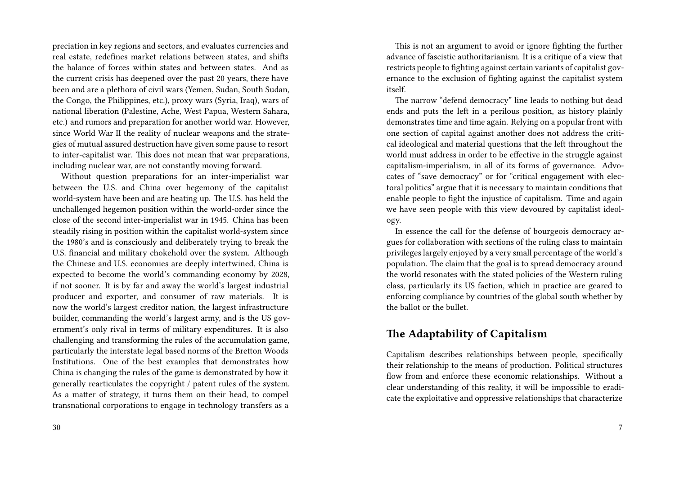preciation in key regions and sectors, and evaluates currencies and real estate, redefines market relations between states, and shifts the balance of forces within states and between states. And as the current crisis has deepened over the past 20 years, there have been and are a plethora of civil wars (Yemen, Sudan, South Sudan, the Congo, the Philippines, etc.), proxy wars (Syria, Iraq), wars of national liberation (Palestine, Ache, West Papua, Western Sahara, etc.) and rumors and preparation for another world war. However, since World War II the reality of nuclear weapons and the strategies of mutual assured destruction have given some pause to resort to inter-capitalist war. This does not mean that war preparations, including nuclear war, are not constantly moving forward.

Without question preparations for an inter-imperialist war between the U.S. and China over hegemony of the capitalist world-system have been and are heating up. The U.S. has held the unchallenged hegemon position within the world-order since the close of the second inter-imperialist war in 1945. China has been steadily rising in position within the capitalist world-system since the 1980's and is consciously and deliberately trying to break the U.S. financial and military chokehold over the system. Although the Chinese and U.S. economies are deeply intertwined, China is expected to become the world's commanding economy by 2028, if not sooner. It is by far and away the world's largest industrial producer and exporter, and consumer of raw materials. It is now the world's largest creditor nation, the largest infrastructure builder, commanding the world's largest army, and is the US government's only rival in terms of military expenditures. It is also challenging and transforming the rules of the accumulation game, particularly the interstate legal based norms of the Bretton Woods Institutions. One of the best examples that demonstrates how China is changing the rules of the game is demonstrated by how it generally rearticulates the copyright / patent rules of the system. As a matter of strategy, it turns them on their head, to compel transnational corporations to engage in technology transfers as a

This is not an argument to avoid or ignore fighting the further advance of fascistic authoritarianism. It is a critique of a view that restricts people to fighting against certain variants of capitalist governance to the exclusion of fighting against the capitalist system itself.

The narrow "defend democracy" line leads to nothing but dead ends and puts the left in a perilous position, as history plainly demonstrates time and time again. Relying on a popular front with one section of capital against another does not address the critical ideological and material questions that the left throughout the world must address in order to be effective in the struggle against capitalism-imperialism, in all of its forms of governance. Advocates of "save democracy" or for "critical engagement with electoral politics" argue that it is necessary to maintain conditions that enable people to fight the injustice of capitalism. Time and again we have seen people with this view devoured by capitalist ideology.

In essence the call for the defense of bourgeois democracy argues for collaboration with sections of the ruling class to maintain privileges largely enjoyed by a very small percentage of the world's population. The claim that the goal is to spread democracy around the world resonates with the stated policies of the Western ruling class, particularly its US faction, which in practice are geared to enforcing compliance by countries of the global south whether by the ballot or the bullet.

## **The Adaptability of Capitalism**

Capitalism describes relationships between people, specifically their relationship to the means of production. Political structures flow from and enforce these economic relationships. Without a clear understanding of this reality, it will be impossible to eradicate the exploitative and oppressive relationships that characterize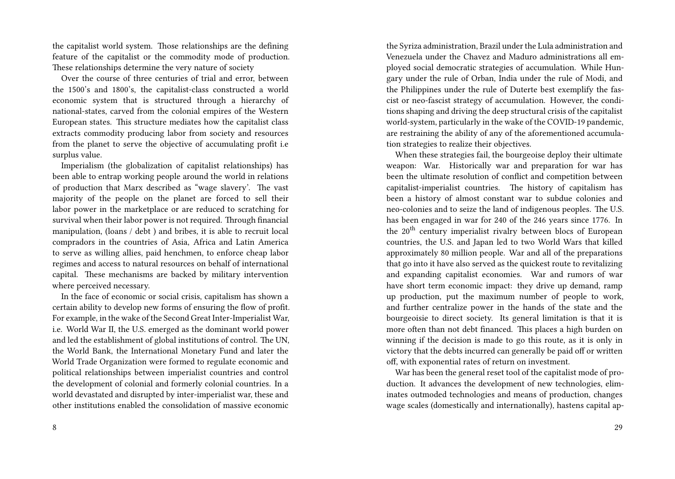the capitalist world system. Those relationships are the defining feature of the capitalist or the commodity mode of production. These relationships determine the very nature of society

Over the course of three centuries of trial and error, between the 1500's and 1800's, the capitalist-class constructed a world economic system that is structured through a hierarchy of national-states, carved from the colonial empires of the Western European states. This structure mediates how the capitalist class extracts commodity producing labor from society and resources from the planet to serve the objective of accumulating profit i.e surplus value.

Imperialism (the globalization of capitalist relationships) has been able to entrap working people around the world in relations of production that Marx described as "wage slavery'. The vast majority of the people on the planet are forced to sell their labor power in the marketplace or are reduced to scratching for survival when their labor power is not required. Through financial manipulation, (loans / debt ) and bribes, it is able to recruit local compradors in the countries of Asia, Africa and Latin America to serve as willing allies, paid henchmen, to enforce cheap labor regimes and access to natural resources on behalf of international capital. These mechanisms are backed by military intervention where perceived necessary.

In the face of economic or social crisis, capitalism has shown a certain ability to develop new forms of ensuring the flow of profit. For example, in the wake of the Second Great Inter-Imperialist War, i.e. World War II, the U.S. emerged as the dominant world power and led the establishment of global institutions of control. The UN, the World Bank, the International Monetary Fund and later the World Trade Organization were formed to regulate economic and political relationships between imperialist countries and control the development of colonial and formerly colonial countries. In a world devastated and disrupted by inter-imperialist war, these and other institutions enabled the consolidation of massive economic

the Syriza administration, Brazil under the Lula administration and Venezuela under the Chavez and Maduro administrations all employed social democratic strategies of accumulation. While Hungary under the rule of Orban, India under the rule of Modi, and the Philippines under the rule of Duterte best exemplify the fascist or neo-fascist strategy of accumulation. However, the conditions shaping and driving the deep structural crisis of the capitalist world-system, particularly in the wake of the COVID-19 pandemic, are restraining the ability of any of the aforementioned accumulation strategies to realize their objectives.

When these strategies fail, the bourgeoise deploy their ultimate weapon: War. Historically war and preparation for war has been the ultimate resolution of conflict and competition between capitalist-imperialist countries. The history of capitalism has been a history of almost constant war to subdue colonies and neo-colonies and to seize the land of indigenous peoples. The U.S. has been engaged in war for 240 of the 246 years since 1776. In the 20<sup>th</sup> century imperialist rivalry between blocs of European countries, the U.S. and Japan led to two World Wars that killed approximately 80 million people. War and all of the preparations that go into it have also served as the quickest route to revitalizing and expanding capitalist economies. War and rumors of war have short term economic impact: they drive up demand, ramp up production, put the maximum number of people to work, and further centralize power in the hands of the state and the bourgeoisie to direct society. Its general limitation is that it is more often than not debt financed. This places a high burden on winning if the decision is made to go this route, as it is only in victory that the debts incurred can generally be paid off or written off, with exponential rates of return on investment.

War has been the general reset tool of the capitalist mode of production. It advances the development of new technologies, eliminates outmoded technologies and means of production, changes wage scales (domestically and internationally), hastens capital ap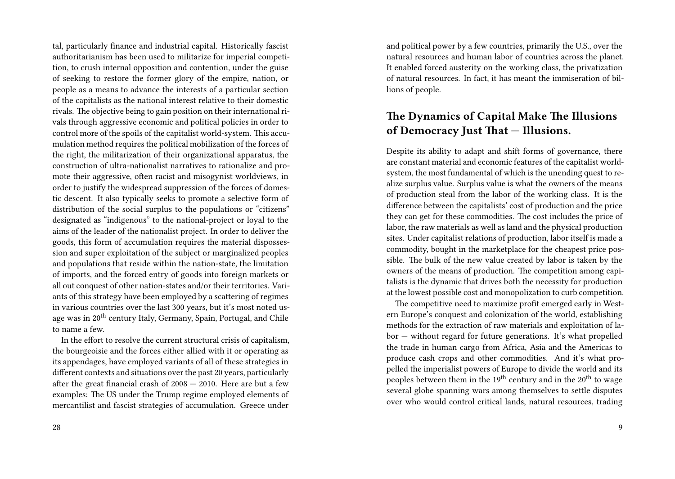tal, particularly finance and industrial capital. Historically fascist authoritarianism has been used to militarize for imperial competition, to crush internal opposition and contention, under the guise of seeking to restore the former glory of the empire, nation, or people as a means to advance the interests of a particular section of the capitalists as the national interest relative to their domestic rivals. The objective being to gain position on their international rivals through aggressive economic and political policies in order to control more of the spoils of the capitalist world-system. This accumulation method requires the political mobilization of the forces of the right, the militarization of their organizational apparatus, the construction of ultra-nationalist narratives to rationalize and promote their aggressive, often racist and misogynist worldviews, in order to justify the widespread suppression of the forces of domestic descent. It also typically seeks to promote a selective form of distribution of the social surplus to the populations or "citizens" designated as "indigenous" to the national-project or loyal to the aims of the leader of the nationalist project. In order to deliver the goods, this form of accumulation requires the material dispossession and super exploitation of the subject or marginalized peoples and populations that reside within the nation-state, the limitation of imports, and the forced entry of goods into foreign markets or all out conquest of other nation-states and/or their territories. Variants of this strategy have been employed by a scattering of regimes in various countries over the last 300 years, but it's most noted usage was in 20th century Italy, Germany, Spain, Portugal, and Chile to name a few.

In the effort to resolve the current structural crisis of capitalism, the bourgeoisie and the forces either allied with it or operating as its appendages, have employed variants of all of these strategies in different contexts and situations over the past 20 years, particularly after the great financial crash of 2008 — 2010. Here are but a few examples: The US under the Trump regime employed elements of mercantilist and fascist strategies of accumulation. Greece under and political power by a few countries, primarily the U.S., over the natural resources and human labor of countries across the planet. It enabled forced austerity on the working class, the privatization of natural resources. In fact, it has meant the immiseration of billions of people.

## **The Dynamics of Capital Make The Illusions of Democracy Just That — Illusions.**

Despite its ability to adapt and shift forms of governance, there are constant material and economic features of the capitalist worldsystem, the most fundamental of which is the unending quest to realize surplus value. Surplus value is what the owners of the means of production steal from the labor of the working class. It is the difference between the capitalists' cost of production and the price they can get for these commodities. The cost includes the price of labor, the raw materials as well as land and the physical production sites. Under capitalist relations of production, labor itself is made a commodity, bought in the marketplace for the cheapest price possible. The bulk of the new value created by labor is taken by the owners of the means of production. The competition among capitalists is the dynamic that drives both the necessity for production at the lowest possible cost and monopolization to curb competition.

The competitive need to maximize profit emerged early in Western Europe's conquest and colonization of the world, establishing methods for the extraction of raw materials and exploitation of labor — without regard for future generations. It's what propelled the trade in human cargo from Africa, Asia and the Americas to produce cash crops and other commodities. And it's what propelled the imperialist powers of Europe to divide the world and its peoples between them in the  $19<sup>th</sup>$  century and in the  $20<sup>th</sup>$  to wage several globe spanning wars among themselves to settle disputes over who would control critical lands, natural resources, trading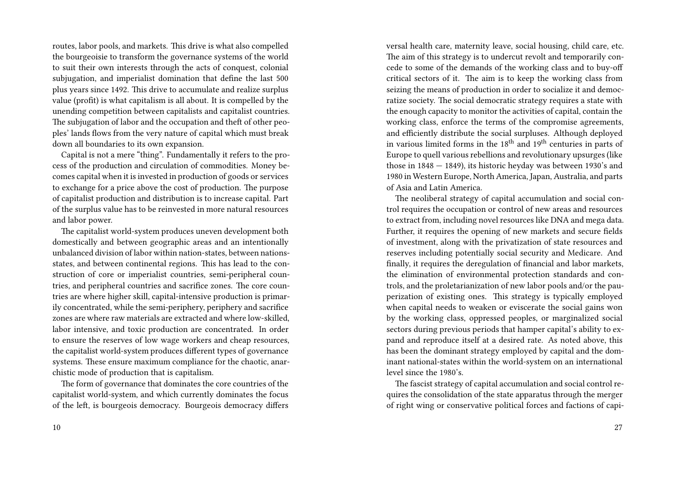routes, labor pools, and markets. This drive is what also compelled the bourgeoisie to transform the governance systems of the world to suit their own interests through the acts of conquest, colonial subjugation, and imperialist domination that define the last 500 plus years since 1492. This drive to accumulate and realize surplus value (profit) is what capitalism is all about. It is compelled by the unending competition between capitalists and capitalist countries. The subjugation of labor and the occupation and theft of other peoples' lands flows from the very nature of capital which must break down all boundaries to its own expansion.

Capital is not a mere "thing". Fundamentally it refers to the process of the production and circulation of commodities. Money becomes capital when it is invested in production of goods or services to exchange for a price above the cost of production. The purpose of capitalist production and distribution is to increase capital. Part of the surplus value has to be reinvested in more natural resources and labor power.

The capitalist world-system produces uneven development both domestically and between geographic areas and an intentionally unbalanced division of labor within nation-states, between nationsstates, and between continental regions. This has lead to the construction of core or imperialist countries, semi-peripheral countries, and peripheral countries and sacrifice zones. The core countries are where higher skill, capital-intensive production is primarily concentrated, while the semi-periphery, periphery and sacrifice zones are where raw materials are extracted and where low-skilled, labor intensive, and toxic production are concentrated. In order to ensure the reserves of low wage workers and cheap resources, the capitalist world-system produces different types of governance systems. These ensure maximum compliance for the chaotic, anarchistic mode of production that is capitalism.

The form of governance that dominates the core countries of the capitalist world-system, and which currently dominates the focus of the left, is bourgeois democracy. Bourgeois democracy differs

versal health care, maternity leave, social housing, child care, etc. The aim of this strategy is to undercut revolt and temporarily concede to some of the demands of the working class and to buy-off critical sectors of it. The aim is to keep the working class from seizing the means of production in order to socialize it and democratize society. The social democratic strategy requires a state with the enough capacity to monitor the activities of capital, contain the working class, enforce the terms of the compromise agreements, and efficiently distribute the social surpluses. Although deployed in various limited forms in the  $18<sup>th</sup>$  and  $19<sup>th</sup>$  centuries in parts of Europe to quell various rebellions and revolutionary upsurges (like those in 1848 — 1849), its historic heyday was between 1930's and 1980 in Western Europe, North America, Japan, Australia, and parts of Asia and Latin America.

The neoliberal strategy of capital accumulation and social control requires the occupation or control of new areas and resources to extract from, including novel resources like DNA and mega data. Further, it requires the opening of new markets and secure fields of investment, along with the privatization of state resources and reserves including potentially social security and Medicare. And finally, it requires the deregulation of financial and labor markets, the elimination of environmental protection standards and controls, and the proletarianization of new labor pools and/or the pauperization of existing ones. This strategy is typically employed when capital needs to weaken or eviscerate the social gains won by the working class, oppressed peoples, or marginalized social sectors during previous periods that hamper capital's ability to expand and reproduce itself at a desired rate. As noted above, this has been the dominant strategy employed by capital and the dominant national-states within the world-system on an international level since the 1980's.

The fascist strategy of capital accumulation and social control requires the consolidation of the state apparatus through the merger of right wing or conservative political forces and factions of capi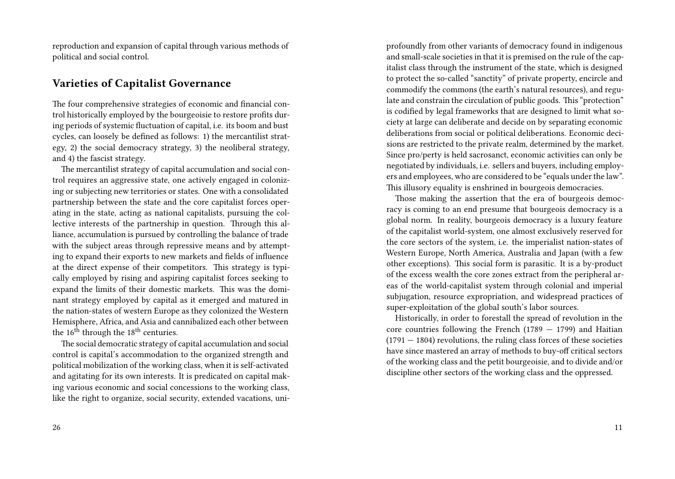reproduction and expansion of capital through various methods of political and social control.

## **Varieties of Capitalist Governance**

The four comprehensive strategies of economic and financial control historically employed by the bourgeoisie to restore profits during periods of systemic fluctuation of capital, i.e. its boom and bust cycles, can loosely be defined as follows: 1) the mercantilist strategy, 2) the social democracy strategy, 3) the neoliberal strategy, and 4) the fascist strategy.

The mercantilist strategy of capital accumulation and social control requires an aggressive state, one actively engaged in colonizing or subjecting new territories or states. One with a consolidated partnership between the state and the core capitalist forces operating in the state, acting as national capitalists, pursuing the collective interests of the partnership in question. Through this alliance, accumulation is pursued by controlling the balance of trade with the subject areas through repressive means and by attempting to expand their exports to new markets and fields of influence at the direct expense of their competitors. This strategy is typically employed by rising and aspiring capitalist forces seeking to expand the limits of their domestic markets. This was the dominant strategy employed by capital as it emerged and matured in the nation-states of western Europe as they colonized the Western Hemisphere, Africa, and Asia and cannibalized each other between the  $16<sup>th</sup>$  through the  $18<sup>th</sup>$  centuries.

The social democratic strategy of capital accumulation and social control is capital's accommodation to the organized strength and political mobilization of the working class, when it is self-activated and agitating for its own interests. It is predicated on capital making various economic and social concessions to the working class, like the right to organize, social security, extended vacations, uni-

profoundly from other variants of democracy found in indigenous and small-scale societies in that it is premised on the rule of the capitalist class through the instrument of the state, which is designed to protect the so-called "sanctity" of private property, encircle and commodify the commons (the earth's natural resources), and regulate and constrain the circulation of public goods. This "protection" is codified by legal frameworks that are designed to limit what society at large can deliberate and decide on by separating economic deliberations from social or political deliberations. Economic decisions are restricted to the private realm, determined by the market. Since pro/perty is held sacrosanct, economic activities can only be negotiated by individuals, i.e. sellers and buyers, including employers and employees, who are considered to be "equals under the law". This illusory equality is enshrined in bourgeois democracies.

Those making the assertion that the era of bourgeois democracy is coming to an end presume that bourgeois democracy is a global norm. In reality, bourgeois democracy is a luxury feature of the capitalist world-system, one almost exclusively reserved for the core sectors of the system, i.e. the imperialist nation-states of Western Europe, North America, Australia and Japan (with a few other exceptions). This social form is parasitic. It is a by-product of the excess wealth the core zones extract from the peripheral areas of the world-capitalist system through colonial and imperial subjugation, resource expropriation, and widespread practices of super-exploitation of the global south's labor sources.

Historically, in order to forestall the spread of revolution in the core countries following the French (1789  $-$  1799) and Haitian  $(1791 - 1804)$  revolutions, the ruling class forces of these societies have since mastered an array of methods to buy-off critical sectors of the working class and the petit bourgeoisie, and to divide and/or discipline other sectors of the working class and the oppressed.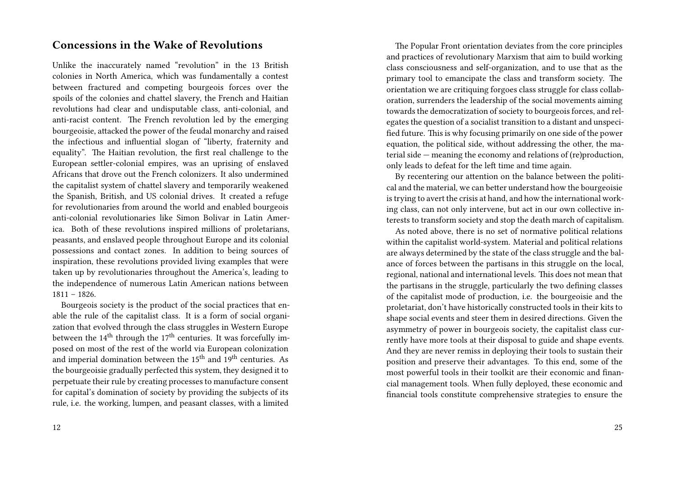## **Concessions in the Wake of Revolutions**

Unlike the inaccurately named "revolution" in the 13 British colonies in North America, which was fundamentally a contest between fractured and competing bourgeois forces over the spoils of the colonies and chattel slavery, the French and Haitian revolutions had clear and undisputable class, anti-colonial, and anti-racist content. The French revolution led by the emerging bourgeoisie, attacked the power of the feudal monarchy and raised the infectious and influential slogan of "liberty, fraternity and equality". The Haitian revolution, the first real challenge to the European settler-colonial empires, was an uprising of enslaved Africans that drove out the French colonizers. It also undermined the capitalist system of chattel slavery and temporarily weakened the Spanish, British, and US colonial drives. It created a refuge for revolutionaries from around the world and enabled bourgeois anti-colonial revolutionaries like Simon Bolivar in Latin America. Both of these revolutions inspired millions of proletarians, peasants, and enslaved people throughout Europe and its colonial possessions and contact zones. In addition to being sources of inspiration, these revolutions provided living examples that were taken up by revolutionaries throughout the America's, leading to the independence of numerous Latin American nations between 1811 – 1826.

Bourgeois society is the product of the social practices that enable the rule of the capitalist class. It is a form of social organization that evolved through the class struggles in Western Europe between the  $14<sup>th</sup>$  through the  $17<sup>th</sup>$  centuries. It was forcefully imposed on most of the rest of the world via European colonization and imperial domination between the 15<sup>th</sup> and 19<sup>th</sup> centuries. As the bourgeoisie gradually perfected this system, they designed it to perpetuate their rule by creating processes to manufacture consent for capital's domination of society by providing the subjects of its rule, i.e. the working, lumpen, and peasant classes, with a limited

The Popular Front orientation deviates from the core principles and practices of revolutionary Marxism that aim to build working class consciousness and self-organization, and to use that as the primary tool to emancipate the class and transform society. The orientation we are critiquing forgoes class struggle for class collaboration, surrenders the leadership of the social movements aiming towards the democratization of society to bourgeois forces, and relegates the question of a socialist transition to a distant and unspecified future. This is why focusing primarily on one side of the power equation, the political side, without addressing the other, the material side — meaning the economy and relations of (re)production, only leads to defeat for the left time and time again.

By recentering our attention on the balance between the political and the material, we can better understand how the bourgeoisie is trying to avert the crisis at hand, and how the international working class, can not only intervene, but act in our own collective interests to transform society and stop the death march of capitalism.

As noted above, there is no set of normative political relations within the capitalist world-system. Material and political relations are always determined by the state of the class struggle and the balance of forces between the partisans in this struggle on the local, regional, national and international levels. This does not mean that the partisans in the struggle, particularly the two defining classes of the capitalist mode of production, i.e. the bourgeoisie and the proletariat, don't have historically constructed tools in their kits to shape social events and steer them in desired directions. Given the asymmetry of power in bourgeois society, the capitalist class currently have more tools at their disposal to guide and shape events. And they are never remiss in deploying their tools to sustain their position and preserve their advantages. To this end, some of the most powerful tools in their toolkit are their economic and financial management tools. When fully deployed, these economic and financial tools constitute comprehensive strategies to ensure the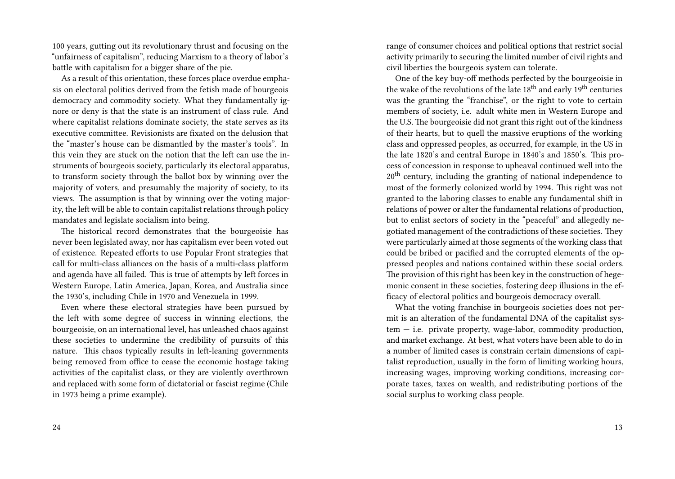100 years, gutting out its revolutionary thrust and focusing on the "unfairness of capitalism", reducing Marxism to a theory of labor's battle with capitalism for a bigger share of the pie.

As a result of this orientation, these forces place overdue emphasis on electoral politics derived from the fetish made of bourgeois democracy and commodity society. What they fundamentally ignore or deny is that the state is an instrument of class rule. And where capitalist relations dominate society, the state serves as its executive committee. Revisionists are fixated on the delusion that the "master's house can be dismantled by the master's tools". In this vein they are stuck on the notion that the left can use the instruments of bourgeois society, particularly its electoral apparatus, to transform society through the ballot box by winning over the majority of voters, and presumably the majority of society, to its views. The assumption is that by winning over the voting majority, the left will be able to contain capitalist relations through policy mandates and legislate socialism into being.

The historical record demonstrates that the bourgeoisie has never been legislated away, nor has capitalism ever been voted out of existence. Repeated efforts to use Popular Front strategies that call for multi-class alliances on the basis of a multi-class platform and agenda have all failed. This is true of attempts by left forces in Western Europe, Latin America, Japan, Korea, and Australia since the 1930's, including Chile in 1970 and Venezuela in 1999.

Even where these electoral strategies have been pursued by the left with some degree of success in winning elections, the bourgeoisie, on an international level, has unleashed chaos against these societies to undermine the credibility of pursuits of this nature. This chaos typically results in left-leaning governments being removed from office to cease the economic hostage taking activities of the capitalist class, or they are violently overthrown and replaced with some form of dictatorial or fascist regime (Chile in 1973 being a prime example).

range of consumer choices and political options that restrict social activity primarily to securing the limited number of civil rights and civil liberties the bourgeois system can tolerate.

One of the key buy-off methods perfected by the bourgeoisie in the wake of the revolutions of the late  $18<sup>th</sup>$  and early  $19<sup>th</sup>$  centuries was the granting the "franchise", or the right to vote to certain members of society, i.e. adult white men in Western Europe and the U.S. The bourgeoisie did not grant this right out of the kindness of their hearts, but to quell the massive eruptions of the working class and oppressed peoples, as occurred, for example, in the US in the late 1820's and central Europe in 1840's and 1850's. This process of concession in response to upheaval continued well into the 20<sup>th</sup> century, including the granting of national independence to most of the formerly colonized world by 1994. This right was not granted to the laboring classes to enable any fundamental shift in relations of power or alter the fundamental relations of production, but to enlist sectors of society in the "peaceful" and allegedly negotiated management of the contradictions of these societies. They were particularly aimed at those segments of the working class that could be bribed or pacified and the corrupted elements of the oppressed peoples and nations contained within these social orders. The provision of this right has been key in the construction of hegemonic consent in these societies, fostering deep illusions in the efficacy of electoral politics and bourgeois democracy overall.

What the voting franchise in bourgeois societies does not permit is an alteration of the fundamental DNA of the capitalist system — i.e. private property, wage-labor, commodity production, and market exchange. At best, what voters have been able to do in a number of limited cases is constrain certain dimensions of capitalist reproduction, usually in the form of limiting working hours, increasing wages, improving working conditions, increasing corporate taxes, taxes on wealth, and redistributing portions of the social surplus to working class people.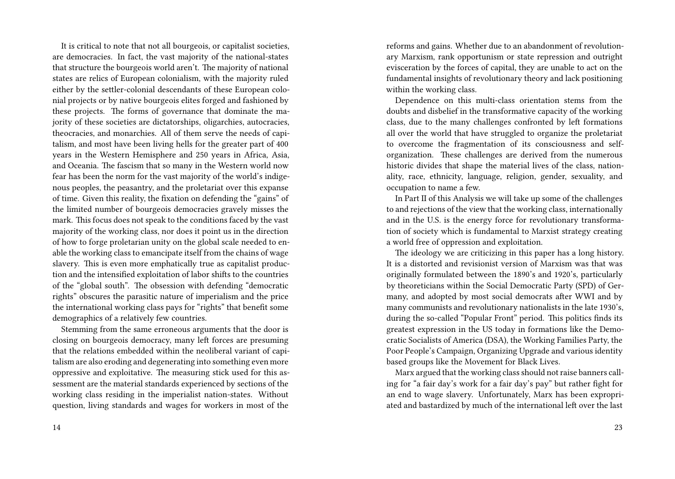It is critical to note that not all bourgeois, or capitalist societies, are democracies. In fact, the vast majority of the national-states that structure the bourgeois world aren't. The majority of national states are relics of European colonialism, with the majority ruled either by the settler-colonial descendants of these European colonial projects or by native bourgeois elites forged and fashioned by these projects. The forms of governance that dominate the majority of these societies are dictatorships, oligarchies, autocracies, theocracies, and monarchies. All of them serve the needs of capitalism, and most have been living hells for the greater part of 400 years in the Western Hemisphere and 250 years in Africa, Asia, and Oceania. The fascism that so many in the Western world now fear has been the norm for the vast majority of the world's indigenous peoples, the peasantry, and the proletariat over this expanse of time. Given this reality, the fixation on defending the "gains" of the limited number of bourgeois democracies gravely misses the mark. This focus does not speak to the conditions faced by the vast majority of the working class, nor does it point us in the direction of how to forge proletarian unity on the global scale needed to enable the working class to emancipate itself from the chains of wage slavery. This is even more emphatically true as capitalist production and the intensified exploitation of labor shifts to the countries of the "global south". The obsession with defending "democratic rights" obscures the parasitic nature of imperialism and the price the international working class pays for "rights" that benefit some demographics of a relatively few countries.

Stemming from the same erroneous arguments that the door is closing on bourgeois democracy, many left forces are presuming that the relations embedded within the neoliberal variant of capitalism are also eroding and degenerating into something even more oppressive and exploitative. The measuring stick used for this assessment are the material standards experienced by sections of the working class residing in the imperialist nation-states. Without question, living standards and wages for workers in most of the reforms and gains. Whether due to an abandonment of revolutionary Marxism, rank opportunism or state repression and outright evisceration by the forces of capital, they are unable to act on the fundamental insights of revolutionary theory and lack positioning within the working class.

Dependence on this multi-class orientation stems from the doubts and disbelief in the transformative capacity of the working class, due to the many challenges confronted by left formations all over the world that have struggled to organize the proletariat to overcome the fragmentation of its consciousness and selforganization. These challenges are derived from the numerous historic divides that shape the material lives of the class, nationality, race, ethnicity, language, religion, gender, sexuality, and occupation to name a few.

In Part II of this Analysis we will take up some of the challenges to and rejections of the view that the working class, internationally and in the U.S. is the energy force for revolutionary transformation of society which is fundamental to Marxist strategy creating a world free of oppression and exploitation.

The ideology we are criticizing in this paper has a long history. It is a distorted and revisionist version of Marxism was that was originally formulated between the 1890's and 1920's, particularly by theoreticians within the Social Democratic Party (SPD) of Germany, and adopted by most social democrats after WWI and by many communists and revolutionary nationalists in the late 1930's, during the so-called "Popular Front" period. This politics finds its greatest expression in the US today in formations like the Democratic Socialists of America (DSA), the Working Families Party, the Poor People's Campaign, Organizing Upgrade and various identity based groups like the Movement for Black Lives.

Marx argued that the working class should not raise banners calling for "a fair day's work for a fair day's pay" but rather fight for an end to wage slavery. Unfortunately, Marx has been expropriated and bastardized by much of the international left over the last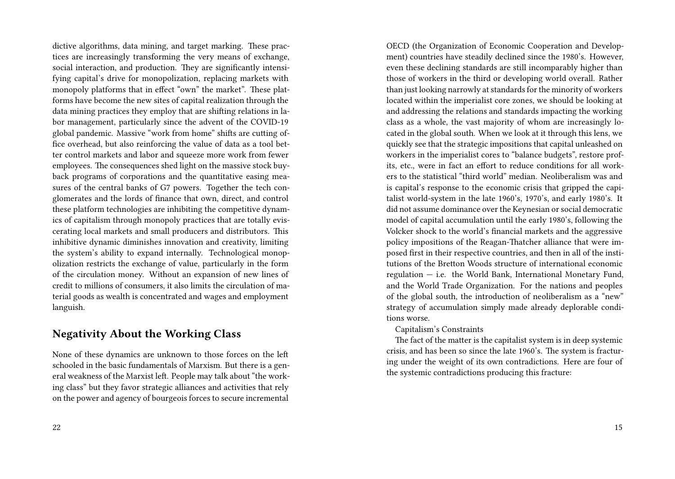dictive algorithms, data mining, and target marking. These practices are increasingly transforming the very means of exchange, social interaction, and production. They are significantly intensifying capital's drive for monopolization, replacing markets with monopoly platforms that in effect "own" the market". These platforms have become the new sites of capital realization through the data mining practices they employ that are shifting relations in labor management, particularly since the advent of the COVID-19 global pandemic. Massive "work from home" shifts are cutting office overhead, but also reinforcing the value of data as a tool better control markets and labor and squeeze more work from fewer employees. The consequences shed light on the massive stock buyback programs of corporations and the quantitative easing measures of the central banks of G7 powers. Together the tech conglomerates and the lords of finance that own, direct, and control these platform technologies are inhibiting the competitive dynamics of capitalism through monopoly practices that are totally eviscerating local markets and small producers and distributors. This inhibitive dynamic diminishes innovation and creativity, limiting the system's ability to expand internally. Technological monopolization restricts the exchange of value, particularly in the form of the circulation money. Without an expansion of new lines of credit to millions of consumers, it also limits the circulation of material goods as wealth is concentrated and wages and employment languish.

## **Negativity About the Working Class**

None of these dynamics are unknown to those forces on the left schooled in the basic fundamentals of Marxism. But there is a general weakness of the Marxist left. People may talk about "the working class" but they favor strategic alliances and activities that rely on the power and agency of bourgeois forces to secure incremental OECD (the Organization of Economic Cooperation and Development) countries have steadily declined since the 1980's. However, even these declining standards are still incomparably higher than those of workers in the third or developing world overall. Rather than just looking narrowly at standards for the minority of workers located within the imperialist core zones, we should be looking at and addressing the relations and standards impacting the working class as a whole, the vast majority of whom are increasingly located in the global south. When we look at it through this lens, we quickly see that the strategic impositions that capital unleashed on workers in the imperialist cores to "balance budgets", restore profits, etc., were in fact an effort to reduce conditions for all workers to the statistical "third world" median. Neoliberalism was and is capital's response to the economic crisis that gripped the capitalist world-system in the late 1960's, 1970's, and early 1980's. It did not assume dominance over the Keynesian or social democratic model of capital accumulation until the early 1980's, following the Volcker shock to the world's financial markets and the aggressive policy impositions of the Reagan-Thatcher alliance that were imposed first in their respective countries, and then in all of the institutions of the Bretton Woods structure of international economic regulation — i.e. the World Bank, International Monetary Fund, and the World Trade Organization. For the nations and peoples of the global south, the introduction of neoliberalism as a "new" strategy of accumulation simply made already deplorable conditions worse.

#### Capitalism's Constraints

The fact of the matter is the capitalist system is in deep systemic crisis, and has been so since the late 1960's. The system is fracturing under the weight of its own contradictions. Here are four of the systemic contradictions producing this fracture: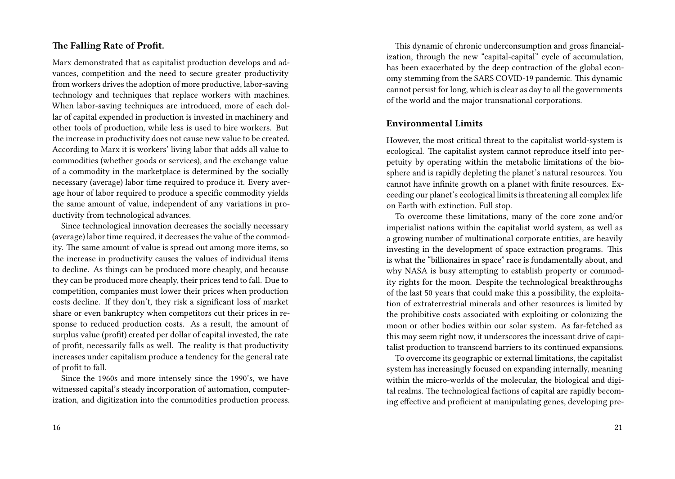#### **The Falling Rate of Profit.**

Marx demonstrated that as capitalist production develops and advances, competition and the need to secure greater productivity from workers drives the adoption of more productive, labor-saving technology and techniques that replace workers with machines. When labor-saving techniques are introduced, more of each dollar of capital expended in production is invested in machinery and other tools of production, while less is used to hire workers. But the increase in productivity does not cause new value to be created. According to Marx it is workers' living labor that adds all value to commodities (whether goods or services), and the exchange value of a commodity in the marketplace is determined by the socially necessary (average) labor time required to produce it. Every average hour of labor required to produce a specific commodity yields the same amount of value, independent of any variations in productivity from technological advances.

Since technological innovation decreases the socially necessary (average) labor time required, it decreases the value of the commodity. The same amount of value is spread out among more items, so the increase in productivity causes the values of individual items to decline. As things can be produced more cheaply, and because they can be produced more cheaply, their prices tend to fall. Due to competition, companies must lower their prices when production costs decline. If they don't, they risk a significant loss of market share or even bankruptcy when competitors cut their prices in response to reduced production costs. As a result, the amount of surplus value (profit) created per dollar of capital invested, the rate of profit, necessarily falls as well. The reality is that productivity increases under capitalism produce a tendency for the general rate of profit to fall.

Since the 1960s and more intensely since the 1990's, we have witnessed capital's steady incorporation of automation, computerization, and digitization into the commodities production process.

This dynamic of chronic underconsumption and gross financialization, through the new "capital-capital" cycle of accumulation, has been exacerbated by the deep contraction of the global economy stemming from the SARS COVID-19 pandemic. This dynamic cannot persist for long, which is clear as day to all the governments of the world and the major transnational corporations.

#### **Environmental Limits**

However, the most critical threat to the capitalist world-system is ecological. The capitalist system cannot reproduce itself into perpetuity by operating within the metabolic limitations of the biosphere and is rapidly depleting the planet's natural resources. You cannot have infinite growth on a planet with finite resources. Exceeding our planet's ecological limits is threatening all complex life on Earth with extinction. Full stop.

To overcome these limitations, many of the core zone and/or imperialist nations within the capitalist world system, as well as a growing number of multinational corporate entities, are heavily investing in the development of space extraction programs. This is what the "billionaires in space" race is fundamentally about, and why NASA is busy attempting to establish property or commodity rights for the moon. Despite the technological breakthroughs of the last 50 years that could make this a possibility, the exploitation of extraterrestrial minerals and other resources is limited by the prohibitive costs associated with exploiting or colonizing the moon or other bodies within our solar system. As far-fetched as this may seem right now, it underscores the incessant drive of capitalist production to transcend barriers to its continued expansions.

To overcome its geographic or external limitations, the capitalist system has increasingly focused on expanding internally, meaning within the micro-worlds of the molecular, the biological and digital realms. The technological factions of capital are rapidly becoming effective and proficient at manipulating genes, developing pre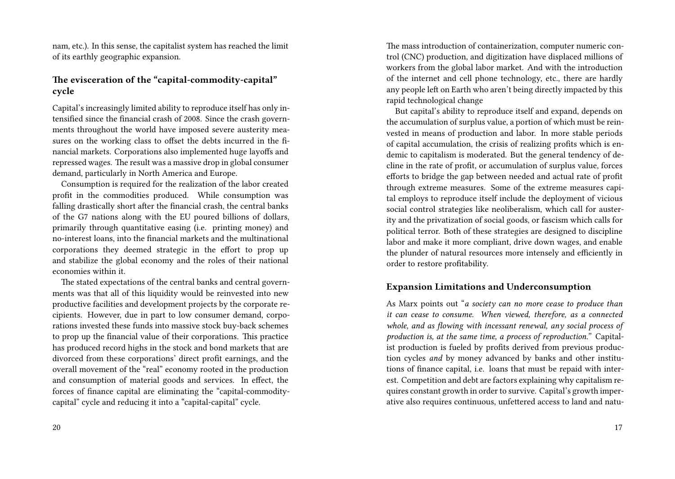nam, etc.). In this sense, the capitalist system has reached the limit of its earthly geographic expansion.

#### **The evisceration of the "capital-commodity-capital" cycle**

Capital's increasingly limited ability to reproduce itself has only intensified since the financial crash of 2008. Since the crash governments throughout the world have imposed severe austerity measures on the working class to offset the debts incurred in the financial markets. Corporations also implemented huge layoffs and repressed wages. The result was a massive drop in global consumer demand, particularly in North America and Europe.

Consumption is required for the realization of the labor created profit in the commodities produced. While consumption was falling drastically short after the financial crash, the central banks of the G7 nations along with the EU poured billions of dollars, primarily through quantitative easing (i.e. printing money) and no-interest loans, into the financial markets and the multinational corporations they deemed strategic in the effort to prop up and stabilize the global economy and the roles of their national economies within it.

The stated expectations of the central banks and central governments was that all of this liquidity would be reinvested into new productive facilities and development projects by the corporate recipients. However, due in part to low consumer demand, corporations invested these funds into massive stock buy-back schemes to prop up the financial value of their corporations. This practice has produced record highs in the stock and bond markets that are divorced from these corporations' direct profit earnings, and the overall movement of the "real" economy rooted in the production and consumption of material goods and services. In effect, the forces of finance capital are eliminating the "capital-commoditycapital" cycle and reducing it into a "capital-capital" cycle.

20

The mass introduction of containerization, computer numeric control (CNC) production, and digitization have displaced millions of workers from the global labor market. And with the introduction of the internet and cell phone technology, etc., there are hardly any people left on Earth who aren't being directly impacted by this rapid technological change

But capital's ability to reproduce itself and expand, depends on the accumulation of surplus value, a portion of which must be reinvested in means of production and labor. In more stable periods of capital accumulation, the crisis of realizing profits which is endemic to capitalism is moderated. But the general tendency of decline in the rate of profit, or accumulation of surplus value, forces efforts to bridge the gap between needed and actual rate of profit through extreme measures. Some of the extreme measures capital employs to reproduce itself include the deployment of vicious social control strategies like neoliberalism, which call for austerity and the privatization of social goods, or fascism which calls for political terror. Both of these strategies are designed to discipline labor and make it more compliant, drive down wages, and enable the plunder of natural resources more intensely and efficiently in order to restore profitability.

#### **Expansion Limitations and Underconsumption**

As Marx points out "*a society can no more cease to produce than it can cease to consume. When viewed, therefore, as a connected whole, and as flowing with incessant renewal, any social process of production is, at the same time, a process of reproduction."* Capitalist production is fueled by profits derived from previous production cycles *and* by money advanced by banks and other institutions of finance capital, i.e. loans that must be repaid with interest. Competition and debt are factors explaining why capitalism requires constant growth in order to survive. Capital's growth imperative also requires continuous, unfettered access to land and natu